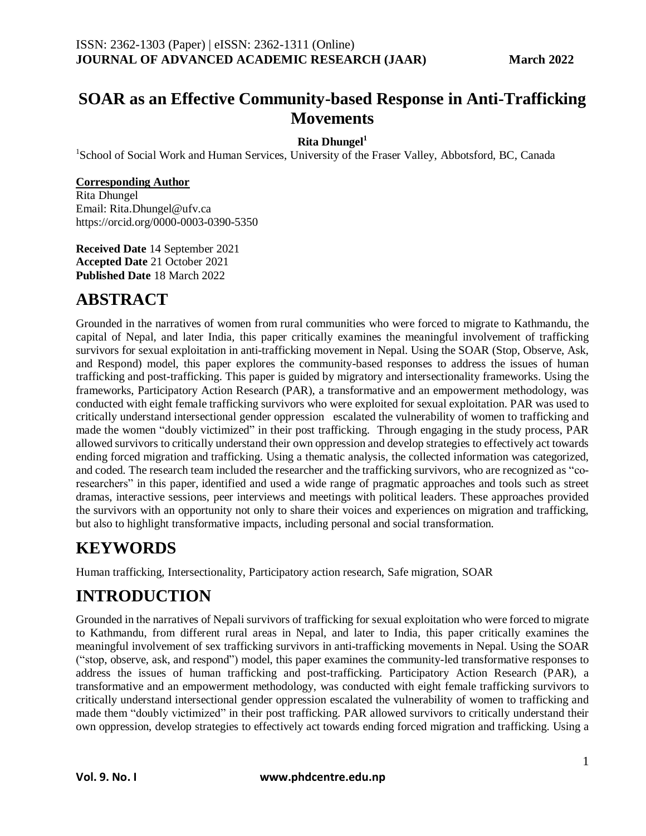### **SOAR as an Effective Community-based Response in Anti-Trafficking Movements**

#### **Rita Dhungel<sup>1</sup>**

<sup>1</sup>School of Social Work and Human Services, University of the Fraser Valley, Abbotsford, BC, Canada

#### **Corresponding Author**

Rita Dhungel Email: Rita.Dhungel@ufv.ca https://orcid.org/0000-0003-0390-5350

**Received Date** 14 September 2021 **Accepted Date** 21 October 2021 **Published Date** 18 March 2022

# **ABSTRACT**

Grounded in the narratives of women from rural communities who were forced to migrate to Kathmandu, the capital of Nepal, and later India, this paper critically examines the meaningful involvement of trafficking survivors for sexual exploitation in anti-trafficking movement in Nepal. Using the SOAR (Stop, Observe, Ask, and Respond) model, this paper explores the community-based responses to address the issues of human trafficking and post-trafficking. This paper is guided by migratory and intersectionality frameworks. Using the frameworks, Participatory Action Research (PAR), a transformative and an empowerment methodology, was conducted with eight female trafficking survivors who were exploited for sexual exploitation. PAR was used to critically understand intersectional gender oppression escalated the vulnerability of women to trafficking and made the women "doubly victimized" in their post trafficking. Through engaging in the study process, PAR allowed survivors to critically understand their own oppression and develop strategies to effectively act towards ending forced migration and trafficking. Using a thematic analysis, the collected information was categorized, and coded. The research team included the researcher and the trafficking survivors, who are recognized as "coresearchers" in this paper, identified and used a wide range of pragmatic approaches and tools such as street dramas, interactive sessions, peer interviews and meetings with political leaders. These approaches provided the survivors with an opportunity not only to share their voices and experiences on migration and trafficking, but also to highlight transformative impacts, including personal and social transformation.

## **KEYWORDS**

Human trafficking, Intersectionality, Participatory action research, Safe migration, SOAR

# **INTRODUCTION**

Grounded in the narratives of Nepali survivors of trafficking for sexual exploitation who were forced to migrate to Kathmandu, from different rural areas in Nepal, and later to India, this paper critically examines the meaningful involvement of sex trafficking survivors in anti-trafficking movements in Nepal. Using the SOAR ("stop, observe, ask, and respond") model, this paper examines the community-led transformative responses to address the issues of human trafficking and post-trafficking. Participatory Action Research (PAR), a transformative and an empowerment methodology, was conducted with eight female trafficking survivors to critically understand intersectional gender oppression escalated the vulnerability of women to trafficking and made them "doubly victimized" in their post trafficking. PAR allowed survivors to critically understand their own oppression, develop strategies to effectively act towards ending forced migration and trafficking. Using a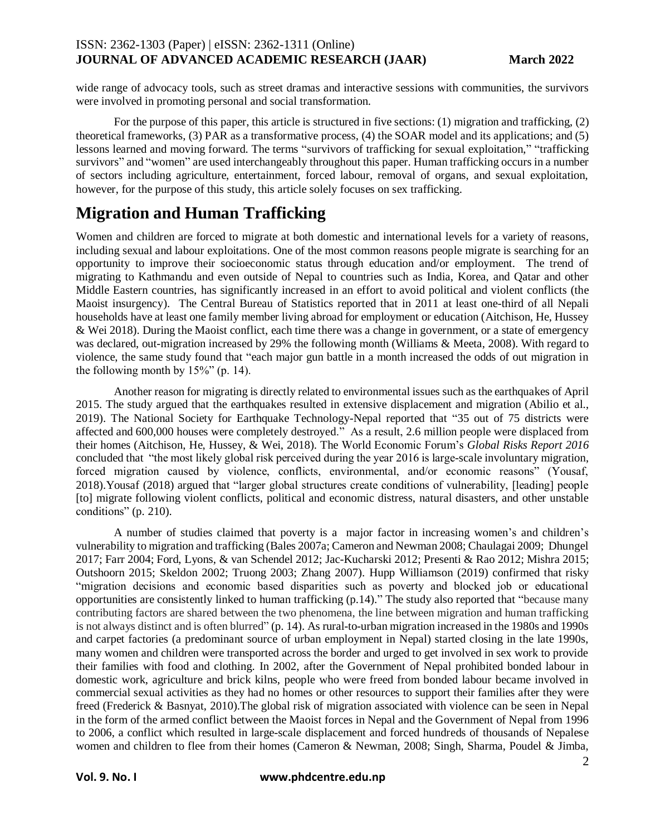wide range of advocacy tools, such as street dramas and interactive sessions with communities, the survivors were involved in promoting personal and social transformation.

For the purpose of this paper, this article is structured in five sections: (1) migration and trafficking, (2) theoretical frameworks, (3) PAR as a transformative process, (4) the SOAR model and its applications; and (5) lessons learned and moving forward. The terms "survivors of trafficking for sexual exploitation," "trafficking survivors" and "women" are used interchangeably throughout this paper. Human trafficking occurs in a number of sectors including agriculture, entertainment, forced labour, removal of organs, and sexual exploitation, however, for the purpose of this study, this article solely focuses on sex trafficking.

### **Migration and Human Trafficking**

Women and children are forced to migrate at both domestic and international levels for a variety of reasons, including sexual and labour exploitations. One of the most common reasons people migrate is searching for an opportunity to improve their socioeconomic status through education and/or employment. The trend of migrating to Kathmandu and even outside of Nepal to countries such as India, Korea, and Qatar and other Middle Eastern countries, has significantly increased in an effort to avoid political and violent conflicts (the Maoist insurgency). The Central Bureau of Statistics reported that in 2011 at least one-third of all Nepali households have at least one family member living abroad for employment or education (Aitchison, He, Hussey & Wei 2018). During the Maoist conflict, each time there was a change in government, or a state of emergency was declared, out-migration increased by 29% the following month (Williams & Meeta, 2008). With regard to violence, the same study found that "each major gun battle in a month increased the odds of out migration in the following month by  $15\%$ " (p. 14).

Another reason for migrating is directly related to environmental issues such as the earthquakes of April 2015. The study argued that the earthquakes resulted in extensive displacement and migration (Abilio et al., 2019). The National Society for Earthquake Technology-Nepal reported that "35 out of 75 districts were affected and 600,000 houses were completely destroyed." As a result, 2.6 million people were displaced from their homes (Aitchison, He, Hussey, & Wei, 2018). The World Economic Forum's *Global Risks Report 2016* concluded that "the most likely global risk perceived during the year 2016 is large-scale involuntary migration, forced migration caused by violence, conflicts, environmental, and/or economic reasons" (Yousaf, 2018).Yousaf (2018) argued that "larger global structures create conditions of vulnerability, [leading] people [to] migrate following violent conflicts, political and economic distress, natural disasters, and other unstable conditions" (p. 210).

A number of studies claimed that poverty is a major factor in increasing women's and children's vulnerability to migration and trafficking (Bales 2007a; Cameron and Newman 2008; Chaulagai 2009; Dhungel 2017; Farr 2004; Ford, Lyons, & van Schendel 2012; Jac-Kucharski 2012; Presenti & Rao 2012; Mishra 2015; Outshoorn 2015; Skeldon 2002; Truong 2003; Zhang 2007). Hupp Williamson (2019) confirmed that risky "migration decisions and economic based disparities such as poverty and blocked job or educational opportunities are consistently linked to human trafficking (p.14)." The study also reported that "because many contributing factors are shared between the two phenomena, the line between migration and human trafficking is not always distinct and is often blurred" (p. 14). As rural-to-urban migration increased in the 1980s and 1990s and carpet factories (a predominant source of urban employment in Nepal) started closing in the late 1990s, many women and children were transported across the border and urged to get involved in sex work to provide their families with food and clothing. In 2002, after the Government of Nepal prohibited bonded labour in domestic work, agriculture and brick kilns, people who were freed from bonded labour became involved in commercial sexual activities as they had no homes or other resources to support their families after they were freed (Frederick & Basnyat, 2010).The global risk of migration associated with violence can be seen in Nepal in the form of the armed conflict between the Maoist forces in Nepal and the Government of Nepal from 1996 to 2006, a conflict which resulted in large-scale displacement and forced hundreds of thousands of Nepalese women and children to flee from their homes (Cameron & Newman, 2008; Singh, Sharma, Poudel & Jimba,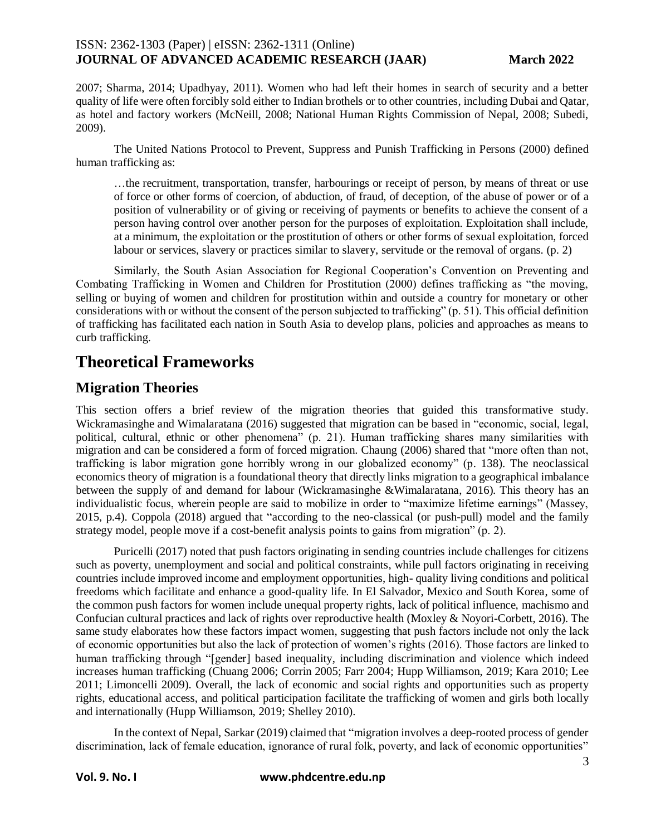2007; Sharma, 2014; Upadhyay, 2011). Women who had left their homes in search of security and a better quality of life were often forcibly sold either to Indian brothels or to other countries, including Dubai and Qatar, as hotel and factory workers (McNeill, 2008; National Human Rights Commission of Nepal, 2008; Subedi, 2009).

The United Nations Protocol to Prevent, Suppress and Punish Trafficking in Persons (2000) defined human trafficking as:

…the recruitment, transportation, transfer, harbourings or receipt of person, by means of threat or use of force or other forms of coercion, of abduction, of fraud, of deception, of the abuse of power or of a position of vulnerability or of giving or receiving of payments or benefits to achieve the consent of a person having control over another person for the purposes of exploitation. Exploitation shall include, at a minimum, the exploitation or the prostitution of others or other forms of sexual exploitation, forced labour or services, slavery or practices similar to slavery, servitude or the removal of organs. (p. 2)

Similarly, the South Asian Association for Regional Cooperation's Convention on Preventing and Combating Trafficking in Women and Children for Prostitution (2000) defines trafficking as "the moving, selling or buying of women and children for prostitution within and outside a country for monetary or other considerations with or without the consent of the person subjected to trafficking" (p. 51). This official definition of trafficking has facilitated each nation in South Asia to develop plans, policies and approaches as means to curb trafficking.

## **Theoretical Frameworks**

### **Migration Theories**

This section offers a brief review of the migration theories that guided this transformative study. Wickramasinghe and Wimalaratana (2016) suggested that migration can be based in "economic, social, legal, political, cultural, ethnic or other phenomena" (p. 21). Human trafficking shares many similarities with migration and can be considered a form of forced migration. Chaung (2006) shared that "more often than not, trafficking is labor migration gone horribly wrong in our globalized economy" (p. 138). The neoclassical economics theory of migration is a foundational theory that directly links migration to a geographical imbalance between the supply of and demand for labour (Wickramasinghe &Wimalaratana, 2016). This theory has an individualistic focus, wherein people are said to mobilize in order to "maximize lifetime earnings" (Massey, 2015, p.4). Coppola (2018) argued that "according to the neo-classical (or push-pull) model and the family strategy model, people move if a cost-benefit analysis points to gains from migration" (p. 2).

Puricelli (2017) noted that push factors originating in sending countries include challenges for citizens such as poverty, unemployment and social and political constraints, while pull factors originating in receiving countries include improved income and employment opportunities, high- quality living conditions and political freedoms which facilitate and enhance a good-quality life. In El Salvador, Mexico and South Korea, some of the common push factors for women include unequal property rights, lack of political influence, machismo and Confucian cultural practices and lack of rights over reproductive health (Moxley & Noyori-Corbett, 2016). The same study elaborates how these factors impact women, suggesting that push factors include not only the lack of economic opportunities but also the lack of protection of women's rights (2016). Those factors are linked to human trafficking through "[gender] based inequality, including discrimination and violence which indeed increases human trafficking (Chuang 2006; Corrin 2005; Farr 2004; Hupp Williamson, 2019; Kara 2010; Lee 2011; Limoncelli 2009). Overall, the lack of economic and social rights and opportunities such as property rights, educational access, and political participation facilitate the trafficking of women and girls both locally and internationally (Hupp Williamson, 2019; Shelley 2010).

In the context of Nepal, Sarkar (2019) claimed that "migration involves a deep-rooted process of gender discrimination, lack of female education, ignorance of rural folk, poverty, and lack of economic opportunities"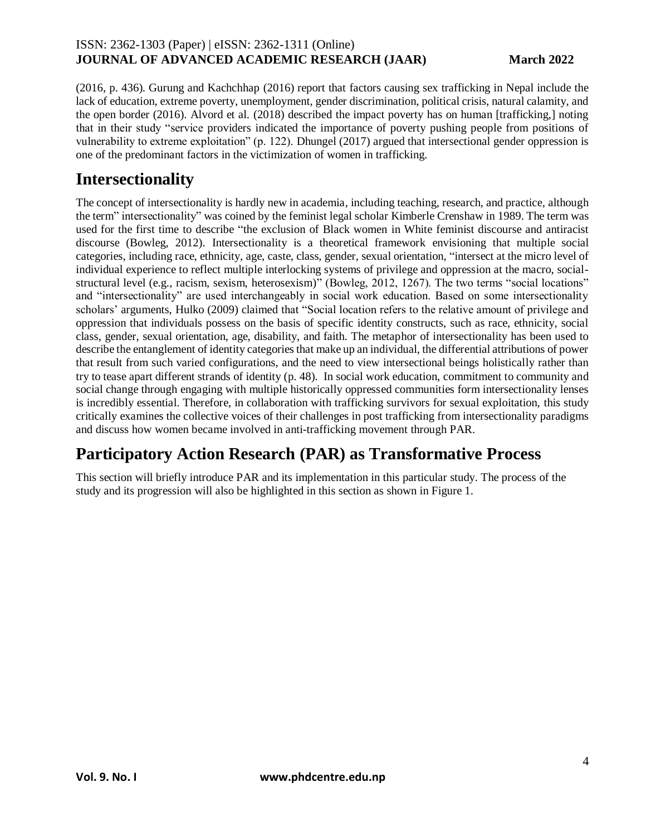(2016, p. 436). Gurung and Kachchhap (2016) report that factors causing sex trafficking in Nepal include the lack of education, extreme poverty, unemployment, gender discrimination, political crisis, natural calamity, and the open border (2016). Alvord et al. (2018) described the impact poverty has on human [trafficking,] noting that in their study "service providers indicated the importance of poverty pushing people from positions of vulnerability to extreme exploitation" (p. 122). Dhungel (2017) argued that intersectional gender oppression is one of the predominant factors in the victimization of women in trafficking.

## **Intersectionality**

The concept of intersectionality is hardly new in academia, including teaching, research, and practice, although the term" intersectionality" was coined by the feminist legal scholar Kimberle Crenshaw in 1989. The term was used for the first time to describe "the exclusion of Black women in White feminist discourse and antiracist discourse (Bowleg, 2012). Intersectionality is a theoretical framework envisioning that multiple social categories, including race, ethnicity, age, caste, class, gender, sexual orientation, "intersect at the micro level of individual experience to reflect multiple interlocking systems of privilege and oppression at the macro, socialstructural level (e.g., racism, sexism, heterosexism)" (Bowleg, 2012, 1267). The two terms "social locations" and "intersectionality" are used interchangeably in social work education. Based on some intersectionality scholars' arguments, Hulko (2009) claimed that "Social location refers to the relative amount of privilege and oppression that individuals possess on the basis of specific identity constructs, such as race, ethnicity, social class, gender, sexual orientation, age, disability, and faith. The metaphor of intersectionality has been used to describe the entanglement of identity categories that make up an individual, the differential attributions of power that result from such varied configurations, and the need to view intersectional beings holistically rather than try to tease apart different strands of identity (p. 48). In social work education, commitment to community and social change through engaging with multiple historically oppressed communities form intersectionality lenses is incredibly essential. Therefore, in collaboration with trafficking survivors for sexual exploitation, this study critically examines the collective voices of their challenges in post trafficking from intersectionality paradigms and discuss how women became involved in anti-trafficking movement through PAR.

# **Participatory Action Research (PAR) as Transformative Process**

This section will briefly introduce PAR and its implementation in this particular study. The process of the study and its progression will also be highlighted in this section as shown in Figure 1.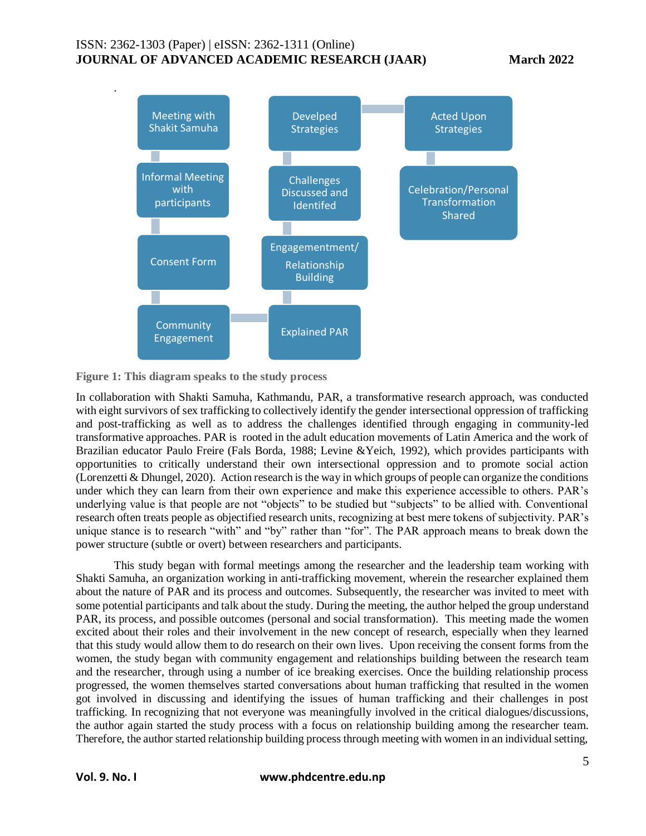.



**Figure 1: This diagram speaks to the study process**

In collaboration with Shakti Samuha, Kathmandu, PAR, a transformative research approach, was conducted with eight survivors of sex trafficking to collectively identify the gender intersectional oppression of trafficking and post-trafficking as well as to address the challenges identified through engaging in community-led transformative approaches. PAR is rooted in the adult education movements of Latin America and the work of Brazilian educator Paulo Freire (Fals Borda, 1988; Levine &Yeich, 1992), which provides participants with opportunities to critically understand their own intersectional oppression and to promote social action (Lorenzetti & Dhungel, 2020). Action research is the way in which groups of people can organize the conditions under which they can learn from their own experience and make this experience accessible to others. PAR's underlying value is that people are not "objects" to be studied but "subjects" to be allied with. Conventional research often treats people as objectified research units, recognizing at best mere tokens of subjectivity. PAR's unique stance is to research "with" and "by" rather than "for". The PAR approach means to break down the power structure (subtle or overt) between researchers and participants.

This study began with formal meetings among the researcher and the leadership team working with Shakti Samuha, an organization working in anti-trafficking movement, wherein the researcher explained them about the nature of PAR and its process and outcomes. Subsequently, the researcher was invited to meet with some potential participants and talk about the study. During the meeting, the author helped the group understand PAR, its process, and possible outcomes (personal and social transformation). This meeting made the women excited about their roles and their involvement in the new concept of research, especially when they learned that this study would allow them to do research on their own lives. Upon receiving the consent forms from the women, the study began with community engagement and relationships building between the research team and the researcher, through using a number of ice breaking exercises. Once the building relationship process progressed, the women themselves started conversations about human trafficking that resulted in the women got involved in discussing and identifying the issues of human trafficking and their challenges in post trafficking. In recognizing that not everyone was meaningfully involved in the critical dialogues/discussions, the author again started the study process with a focus on relationship building among the researcher team. Therefore, the author started relationship building process through meeting with women in an individual setting,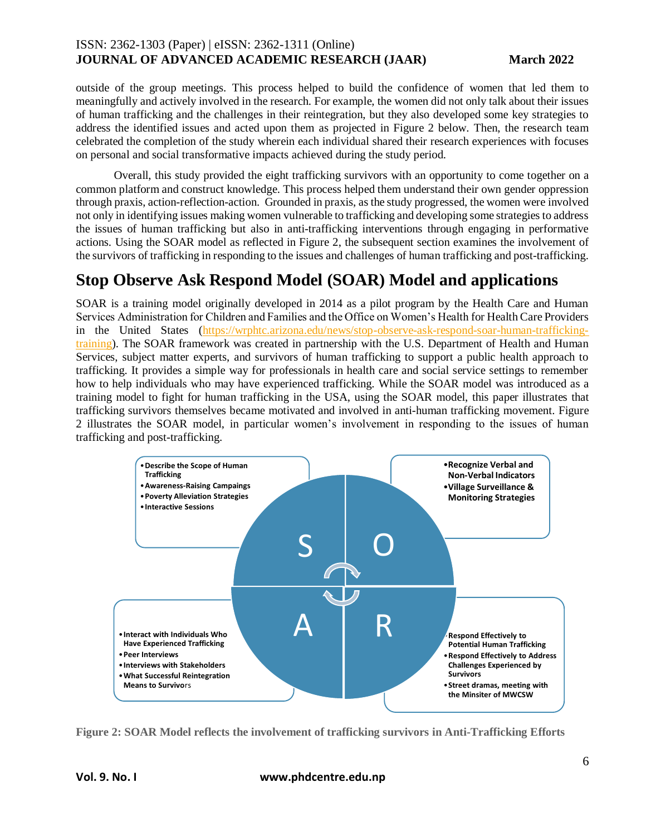outside of the group meetings. This process helped to build the confidence of women that led them to meaningfully and actively involved in the research. For example, the women did not only talk about their issues of human trafficking and the challenges in their reintegration, but they also developed some key strategies to address the identified issues and acted upon them as projected in Figure 2 below. Then, the research team celebrated the completion of the study wherein each individual shared their research experiences with focuses on personal and social transformative impacts achieved during the study period.

Overall, this study provided the eight trafficking survivors with an opportunity to come together on a common platform and construct knowledge. This process helped them understand their own gender oppression through praxis, action-reflection-action. Grounded in praxis, as the study progressed, the women were involved not only in identifying issues making women vulnerable to trafficking and developing some strategies to address the issues of human trafficking but also in anti-trafficking interventions through engaging in performative actions. Using the SOAR model as reflected in Figure 2, the subsequent section examines the involvement of the survivors of trafficking in responding to the issues and challenges of human trafficking and post-trafficking.

### **Stop Observe Ask Respond Model (SOAR) Model and applications**

SOAR is a training model originally developed in 2014 as a pilot program by the Health Care and Human Services Administration for Children and Families and the Office on Women's Health for Health Care Providers in the United States [\(https://wrphtc.arizona.edu/news/stop-observe-ask-respond-soar-human-trafficking](https://wrphtc.arizona.edu/news/stop-observe-ask-respond-soar-human-trafficking-training)[training\)](https://wrphtc.arizona.edu/news/stop-observe-ask-respond-soar-human-trafficking-training). The SOAR framework was created in partnership with the U.S. Department of Health and Human Services, subject matter experts, and survivors of human trafficking to support a public health approach to trafficking. It provides a simple way for professionals in health care and social service settings to remember how to help individuals who may have experienced trafficking. While the SOAR model was introduced as a training model to fight for human trafficking in the USA, using the SOAR model, this paper illustrates that trafficking survivors themselves became motivated and involved in anti-human trafficking movement. Figure 2 illustrates the SOAR model, in particular women's involvement in responding to the issues of human trafficking and post-trafficking.



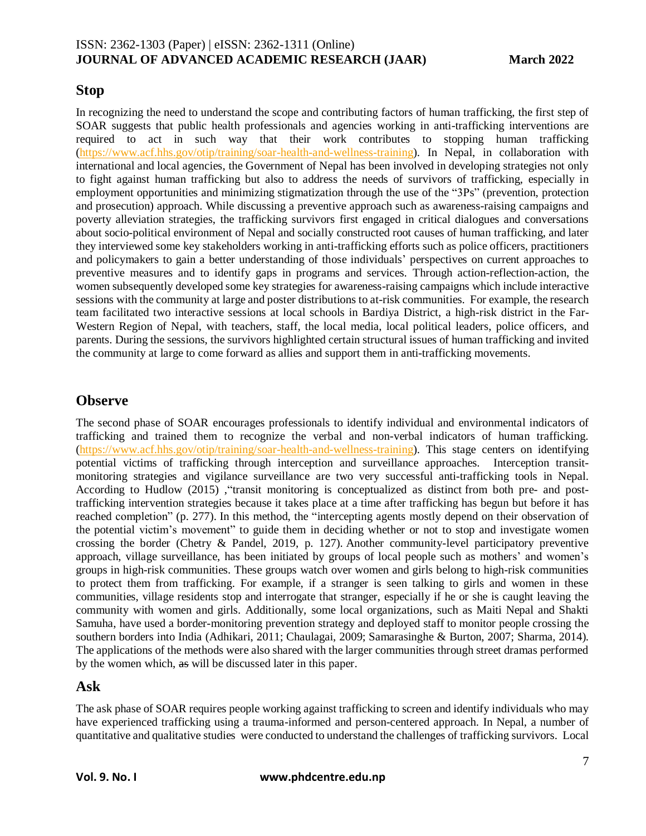### **Stop**

In recognizing the need to understand the scope and contributing factors of human trafficking, the first step of SOAR suggests that public health professionals and agencies working in anti-trafficking interventions are required to act in such way that their work contributes to stopping human trafficking [\(https://www.acf.hhs.gov/otip/training/soar-health-and-wellness-training\)](https://www.acf.hhs.gov/otip/training/soar-health-and-wellness-training). In Nepal, in collaboration with international and local agencies, the Government of Nepal has been involved in developing strategies not only to fight against human trafficking but also to address the needs of survivors of trafficking, especially in employment opportunities and minimizing stigmatization through the use of the "3Ps" (prevention, protection and prosecution) approach. While discussing a preventive approach such as awareness-raising campaigns and poverty alleviation strategies, the trafficking survivors first engaged in critical dialogues and conversations about socio-political environment of Nepal and socially constructed root causes of human trafficking, and later they interviewed some key stakeholders working in anti-trafficking efforts such as police officers, practitioners and policymakers to gain a better understanding of those individuals' perspectives on current approaches to preventive measures and to identify gaps in programs and services. Through action-reflection-action, the women subsequently developed some key strategies for awareness-raising campaigns which include interactive sessions with the community at large and poster distributions to at-risk communities. For example, the research team facilitated two interactive sessions at local schools in Bardiya District, a high-risk district in the Far-Western Region of Nepal, with teachers, staff, the local media, local political leaders, police officers, and parents. During the sessions, the survivors highlighted certain structural issues of human trafficking and invited the community at large to come forward as allies and support them in anti-trafficking movements.

### **Observe**

The second phase of SOAR encourages professionals to identify individual and environmental indicators of trafficking and trained them to recognize the verbal and non-verbal indicators of human trafficking. [\(https://www.acf.hhs.gov/otip/training/soar-health-and-wellness-training\)](https://www.acf.hhs.gov/otip/training/soar-health-and-wellness-training). This stage centers on identifying potential victims of trafficking through interception and surveillance approaches. Interception transitmonitoring strategies and vigilance surveillance are two very successful anti-trafficking tools in Nepal. According to Hudlow (2015) ,"transit monitoring is conceptualized as distinct from both pre- and posttrafficking intervention strategies because it takes place at a time after trafficking has begun but before it has reached completion" (p. 277). In this method, the "intercepting agents mostly depend on their observation of the potential victim's movement" to guide them in deciding whether or not to stop and investigate women crossing the border (Chetry & Pandel, 2019, p. 127). Another community-level participatory preventive approach, village surveillance, has been initiated by groups of local people such as mothers' and women's groups in high-risk communities. These groups watch over women and girls belong to high-risk communities to protect them from trafficking. For example, if a stranger is seen talking to girls and women in these communities, village residents stop and interrogate that stranger, especially if he or she is caught leaving the community with women and girls. Additionally, some local organizations, such as Maiti Nepal and Shakti Samuha, have used a border-monitoring prevention strategy and deployed staff to monitor people crossing the southern borders into India (Adhikari, 2011; Chaulagai, 2009; Samarasinghe & Burton, 2007; Sharma, 2014). The applications of the methods were also shared with the larger communities through street dramas performed by the women which, as will be discussed later in this paper.

### **Ask**

The ask phase of SOAR requires people working against trafficking to screen and identify individuals who may have experienced trafficking using a trauma-informed and person-centered approach. In Nepal, a number of quantitative and qualitative studies were conducted to understand the challenges of trafficking survivors. Local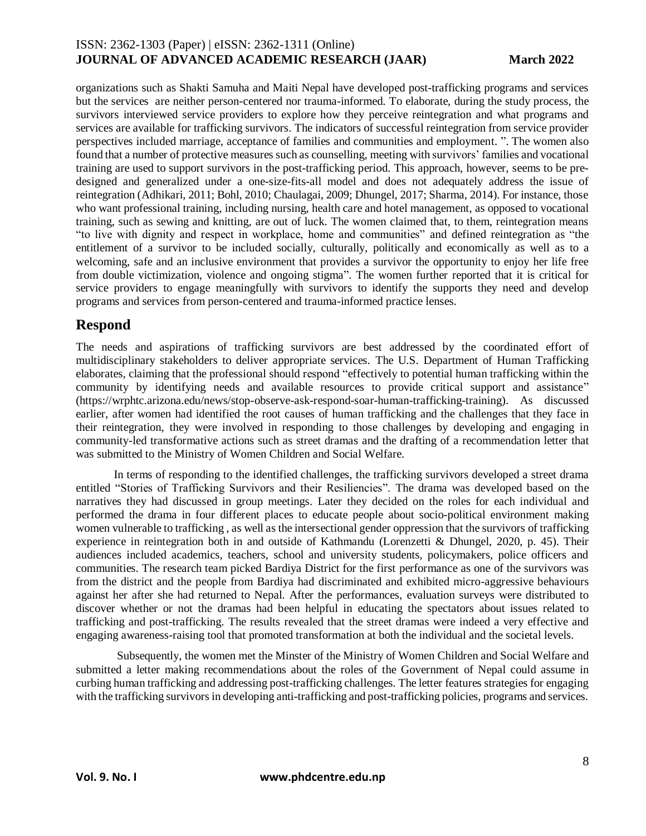organizations such as Shakti Samuha and Maiti Nepal have developed post-trafficking programs and services but the services are neither person-centered nor trauma-informed. To elaborate, during the study process, the survivors interviewed service providers to explore how they perceive reintegration and what programs and services are available for trafficking survivors. The indicators of successful reintegration from service provider perspectives included marriage, acceptance of families and communities and employment. ". The women also found that a number of protective measures such as counselling, meeting with survivors' families and vocational training are used to support survivors in the post-trafficking period. This approach, however, seems to be predesigned and generalized under a one-size-fits-all model and does not adequately address the issue of reintegration (Adhikari, 2011; Bohl, 2010; Chaulagai, 2009; Dhungel, 2017; Sharma, 2014). For instance, those who want professional training, including nursing, health care and hotel management, as opposed to vocational training, such as sewing and knitting, are out of luck. The women claimed that, to them, reintegration means "to live with dignity and respect in workplace, home and communities" and defined reintegration as "the entitlement of a survivor to be included socially, culturally, politically and economically as well as to a welcoming, safe and an inclusive environment that provides a survivor the opportunity to enjoy her life free from double victimization, violence and ongoing stigma". The women further reported that it is critical for service providers to engage meaningfully with survivors to identify the supports they need and develop programs and services from person-centered and trauma-informed practice lenses.

### **Respond**

The needs and aspirations of trafficking survivors are best addressed by the coordinated effort of multidisciplinary stakeholders to deliver appropriate services. The U.S. Department of Human Trafficking elaborates, claiming that the professional should respond "effectively to potential human trafficking within the community by identifying needs and available resources to provide critical support and assistance" [\(https://wrphtc.arizona.edu/news/stop-observe-ask-respond-soar-human-trafficking-training\)](https://wrphtc.arizona.edu/news/stop-observe-ask-respond-soar-human-trafficking-training). As discussed earlier, after women had identified the root causes of human trafficking and the challenges that they face in their reintegration, they were involved in responding to those challenges by developing and engaging in community-led transformative actions such as street dramas and the drafting of a recommendation letter that was submitted to the Ministry of Women Children and Social Welfare.

In terms of responding to the identified challenges, the trafficking survivors developed a street drama entitled "Stories of Trafficking Survivors and their Resiliencies". The drama was developed based on the narratives they had discussed in group meetings. Later they decided on the roles for each individual and performed the drama in four different places to educate people about socio-political environment making women vulnerable to trafficking , as well as the intersectional gender oppression that the survivors of trafficking experience in reintegration both in and outside of Kathmandu (Lorenzetti & Dhungel, 2020, p. 45). Their audiences included academics, teachers, school and university students, policymakers, police officers and communities. The research team picked Bardiya District for the first performance as one of the survivors was from the district and the people from Bardiya had discriminated and exhibited micro-aggressive behaviours against her after she had returned to Nepal. After the performances, evaluation surveys were distributed to discover whether or not the dramas had been helpful in educating the spectators about issues related to trafficking and post-trafficking. The results revealed that the street dramas were indeed a very effective and engaging awareness-raising tool that promoted transformation at both the individual and the societal levels.

Subsequently, the women met the Minster of the Ministry of Women Children and Social Welfare and submitted a letter making recommendations about the roles of the Government of Nepal could assume in curbing human trafficking and addressing post-trafficking challenges. The letter features strategies for engaging with the trafficking survivors in developing anti-trafficking and post-trafficking policies, programs and services.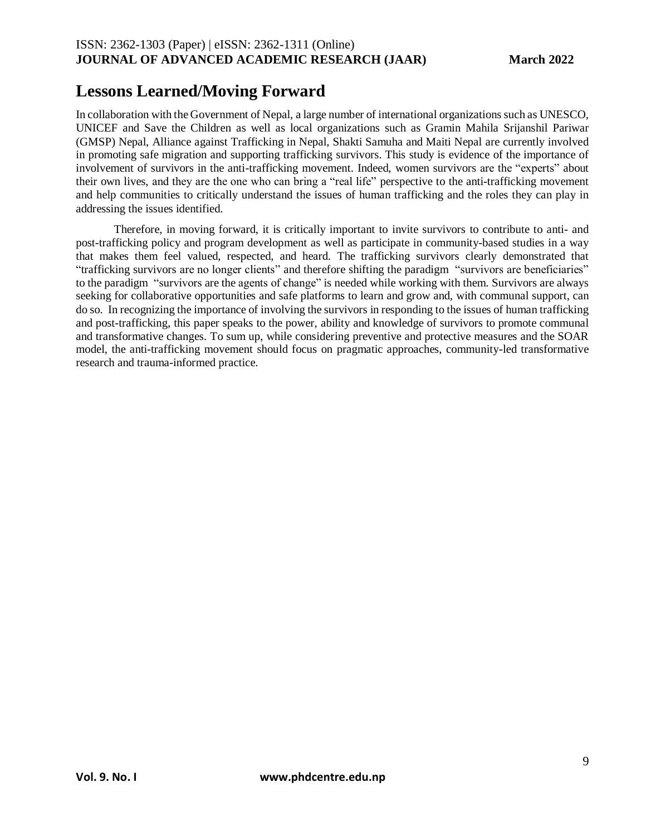## **Lessons Learned/Moving Forward**

In collaboration with the Government of Nepal, a large number of international organizations such as UNESCO, UNICEF and Save the Children as well as local organizations such as Gramin Mahila Srijanshil Pariwar (GMSP) Nepal, Alliance against Trafficking in Nepal, Shakti Samuha and Maiti Nepal are currently involved in promoting safe migration and supporting trafficking survivors. This study is evidence of the importance of involvement of survivors in the anti-trafficking movement. Indeed, women survivors are the "experts" about their own lives, and they are the one who can bring a "real life" perspective to the anti-trafficking movement and help communities to critically understand the issues of human trafficking and the roles they can play in addressing the issues identified.

Therefore, in moving forward, it is critically important to invite survivors to contribute to anti- and post-trafficking policy and program development as well as participate in community-based studies in a way that makes them feel valued, respected, and heard. The trafficking survivors clearly demonstrated that "trafficking survivors are no longer clients" and therefore shifting the paradigm "survivors are beneficiaries" to the paradigm "survivors are the agents of change" is needed while working with them. Survivors are always seeking for collaborative opportunities and safe platforms to learn and grow and, with communal support, can do so. In recognizing the importance of involving the survivors in responding to the issues of human trafficking and post-trafficking, this paper speaks to the power, ability and knowledge of survivors to promote communal and transformative changes. To sum up, while considering preventive and protective measures and the SOAR model, the anti-trafficking movement should focus on pragmatic approaches, community-led transformative research and trauma-informed practice.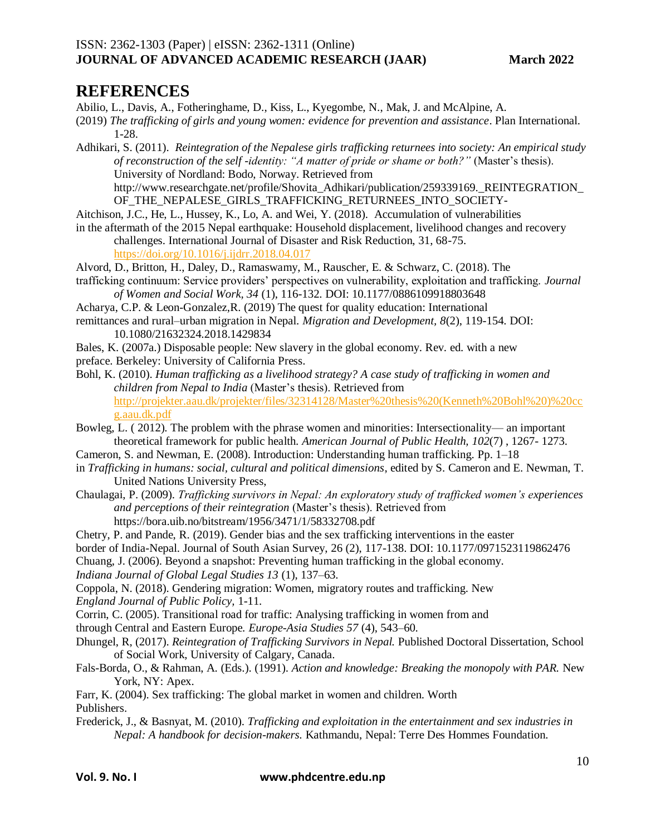### **REFERENCES**

Abilio, L., Davis, A., Fotheringhame, D., Kiss, L., Kyegombe, N., Mak, J. and McAlpine, A.

- (2019) *The trafficking of girls and young women: evidence for prevention and assistance*. Plan International. 1-28.
- Adhikari, S. (2011). *Reintegration of the Nepalese girls trafficking returnees into society: An empirical study of reconstruction of the self -identity: "A matter of pride or shame or both?"* (Master's thesis). University of Nordland: Bodo, Norway. Retrieved from http://www.researchgate.net/profile/Shovita\_Adhikari/publication/259339169.\_REINTEGRATION
- OF\_THE\_NEPALESE\_GIRLS\_TRAFFICKING\_RETURNEES\_INTO\_SOCIETY-
- Aitchison, J.C., He, L., Hussey, K., Lo, A. and Wei, Y. (2018). Accumulation of vulnerabilities
- in the aftermath of the 2015 Nepal earthquake: Household displacement, livelihood changes and recovery challenges. International Journal of Disaster and Risk Reduction, 31, 68-75.

<https://doi.org/10.1016/j.ijdrr.2018.04.017>

- Alvord, D., Britton, H., Daley, D., Ramaswamy, M., Rauscher, E. & Schwarz, C. (2018). The
- trafficking continuum: Service providers' perspectives on vulnerability, exploitation and trafficking. *Journal of Women and Social Work, 34* (1), 116-132. DOI: 10.1177/0886109918803648
- Acharya, C.P. & Leon-Gonzalez,R. (2019) The quest for quality education: International
- remittances and rural–urban migration in Nepal. *Migration and Development, 8*(2), 119-154. DOI: 10.1080/21632324.2018.1429834
- Bales, K. (2007a.) Disposable people: New slavery in the global economy. Rev. ed. with a new preface. Berkeley: University of California Press.
- Bohl, K. (2010). *Human trafficking as a livelihood strategy? A case study of trafficking in women and children from Nepal to India* (Master's thesis). Retrieved from [http://projekter.aau.dk/projekter/files/32314128/Master%20thesis%20\(Kenneth%20Bohl%20\)%20cc](http://projekter.aau.dk/projekter/files/32314128/Master%20thesis%20(Kenneth%20Bohl%20)%20ccg.aau.dk.pdf) [g.aau.dk.pdf](http://projekter.aau.dk/projekter/files/32314128/Master%20thesis%20(Kenneth%20Bohl%20)%20ccg.aau.dk.pdf)
- Bowleg, L. ( 2012). The problem with the phrase women and minorities: Intersectionality— an important theoretical framework for public health. *American Journal of Public Health, 102*(7) , 1267- 1273.
- Cameron, S. and Newman, E. (2008). Introduction: Understanding human trafficking. Pp. 1–18
- in *Trafficking in humans: social, cultural and political dimensions*, edited by S. Cameron and E. Newman, T. United Nations University Press,
- Chaulagai, P. (2009). *Trafficking survivors in Nepal: An exploratory study of trafficked women's experiences and perceptions of their reintegration* (Master's thesis). Retrieved from https://bora.uib.no/bitstream/1956/3471/1/58332708.pdf
- Chetry, P. and Pande, R. (2019). Gender bias and the sex trafficking interventions in the easter
- border of India-Nepal. Journal of South Asian Survey, 26 (2), 117-138. DOI: 10.1177/0971523119862476
- Chuang, J. (2006). Beyond a snapshot: Preventing human trafficking in the global economy.
- *Indiana Journal of Global Legal Studies 13* (1), 137–63.
- Coppola, N. (2018). Gendering migration: Women, migratory routes and trafficking. New *England Journal of Public Policy,* 1-11.
- Corrin, C. (2005). Transitional road for traffic: Analysing trafficking in women from and
- through Central and Eastern Europe. *Europe-Asia Studies 57* (4), 543–60.
- Dhungel, R, (2017). *Reintegration of Trafficking Survivors in Nepal.* Published Doctoral Dissertation, School of Social Work, University of Calgary, Canada.
- Fals-Borda, O., & Rahman, A. (Eds.). (1991). *Action and knowledge: Breaking the monopoly with PAR.* New York, NY: Apex.
- Farr, K. (2004). Sex trafficking: The global market in women and children. Worth Publishers.
- Frederick, J., & Basnyat, M. (2010). *Trafficking and exploitation in the entertainment and sex industries in Nepal: A handbook for decision-makers.* Kathmandu, Nepal: Terre Des Hommes Foundation.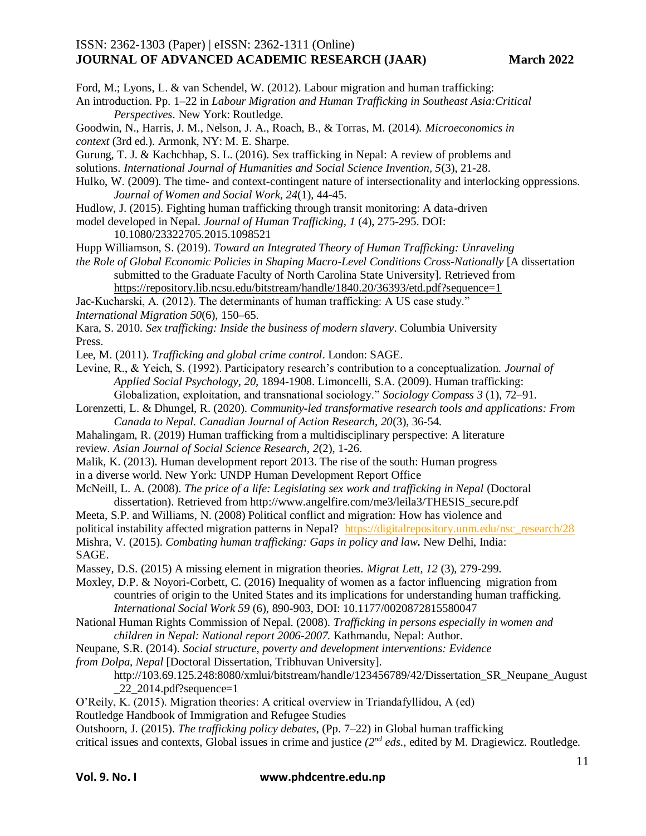Ford, M.; Lyons, L. & van Schendel, W. (2012). Labour migration and human trafficking:

- An introduction. Pp. 1–22 in *Labour Migration and Human Trafficking in Southeast Asia:Critical Perspectives*. New York: Routledge.
- Goodwin, N., Harris, J. M., Nelson, J. A., Roach, B., & Torras, M. (2014). *Microeconomics in context* (3rd ed.). Armonk, NY: M. E. Sharpe.
- Gurung, T. J. & Kachchhap, S. L. (2016). Sex trafficking in Nepal: A review of problems and
- solutions. *International Journal of Humanities and Social Science Invention, 5*(3), 21-28.
- Hulko, W. (2009). The time- and context-contingent nature of intersectionality and interlocking oppressions. *Journal of Women and Social Work, 24*(1), 44-45.
- Hudlow, J. (2015). Fighting human trafficking through transit monitoring: A data-driven
- model developed in Nepal. *Journal of Human Trafficking, 1* (4), 275-295. DOI: 10.1080/23322705.2015.1098521
- Hupp Williamson, S. (2019). *Toward an Integrated Theory of Human Trafficking: Unraveling*
- *the Role of Global Economic Policies in Shaping Macro-Level Conditions Cross-Nationally* [A dissertation submitted to the Graduate Faculty of North Carolina State University]. Retrieved from

<https://repository.lib.ncsu.edu/bitstream/handle/1840.20/36393/etd.pdf?sequence=1>

Jac-Kucharski, A. (2012). The determinants of human trafficking: A US case study." *International Migration 50*(6), 150–65.

Kara, S. 2010. *Sex trafficking: Inside the business of modern slavery*. Columbia University Press.

Lee, M. (2011). *Trafficking and global crime control*. London: SAGE.

- Levine, R., & Yeich, S. (1992). Participatory research's contribution to a conceptualization. *Journal of Applied Social Psychology, 20,* 1894-1908. Limoncelli, S.A. (2009). Human trafficking: Globalization, exploitation, and transnational sociology." *Sociology Compass 3* (1), 72–91.
- Lorenzetti, L. & Dhungel, R. (2020). *Community-led transformative research tools and applications: From Canada to Nepal. Canadian Journal of Action Research, 20*(3), 36-54.
- Mahalingam, R. (2019) Human trafficking from a multidisciplinary perspective: A literature
- review. *Asian Journal of Social Science Research, 2*(2), 1-26.
- Malik, K. (2013). Human development report 2013. The rise of the south: Human progress

in a diverse world. New York: UNDP Human Development Report Office

McNeill, L. A. (2008). *The price of a life: Legislating sex work and trafficking in Nepal* (Doctoral dissertation). Retrieved from http://www.angelfire.com/me3/leila3/THESIS\_secure.pdf

Meeta, S.P. and Williams, N. (2008) Political conflict and migration: How has violence and political instability affected migration patterns in Nepal? [https://digitalrepository.unm.edu/nsc\\_research/28](https://digitalrepository.unm.edu/nsc_research/28) Mishra, V. (2015). *Combating human trafficking: Gaps in policy and law***.** New Delhi, India: SAGE.

Massey, D.S. (2015) A missing element in migration theories. *Migrat Lett, 12* (3), 279-299.

Moxley, D.P. & Noyori-Corbett, C. (2016) Inequality of women as a factor influencing migration from countries of origin to the United States and its implications for understanding human trafficking. *International Social Work 59* (6), 890-903, DOI: 10.1177/0020872815580047

- National Human Rights Commission of Nepal. (2008). *Trafficking in persons especially in women and children in Nepal: National report 2006-2007.* Kathmandu, Nepal: Author.
- Neupane, S.R. (2014). *Social structure, poverty and development interventions: Evidence*
- *from Dolpa, Nepal* [Doctoral Dissertation, Tribhuvan University].

#### http://103.69.125.248:8080/xmlui/bitstream/handle/123456789/42/Dissertation SR Neupane August  $22$  2014.pdf?sequence=1

O'Reily, K. (2015). Migration theories: A critical overview in Triandafyllidou, A (ed)

Routledge Handbook of Immigration and Refugee Studies

Outshoorn, J. (2015). *The trafficking policy debates*, (Pp. 7–22) in Global human trafficking

critical issues and contexts, Global issues in crime and justice *(2nd eds.,* edited by M. Dragiewicz. Routledge.